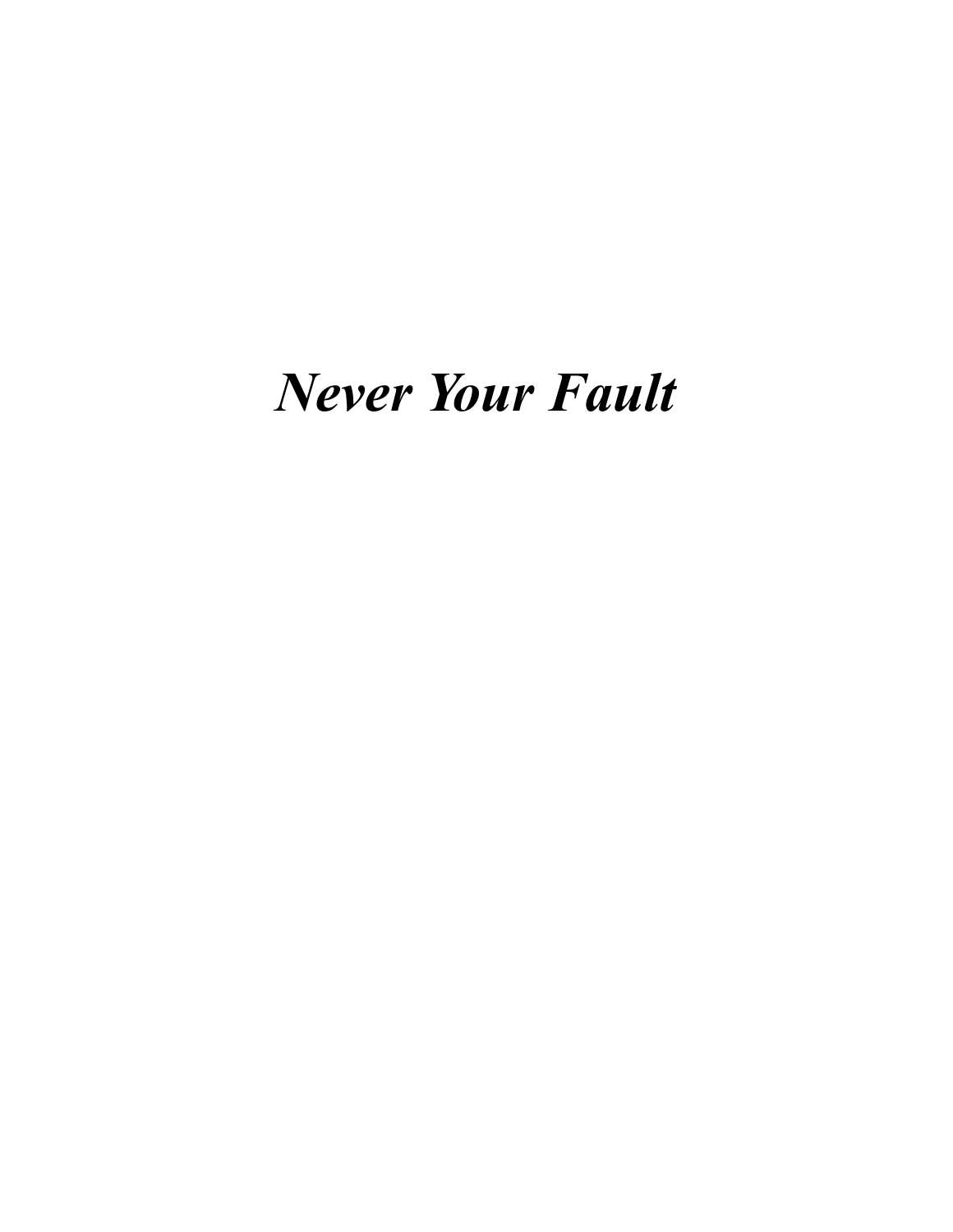## *Never Your Fault*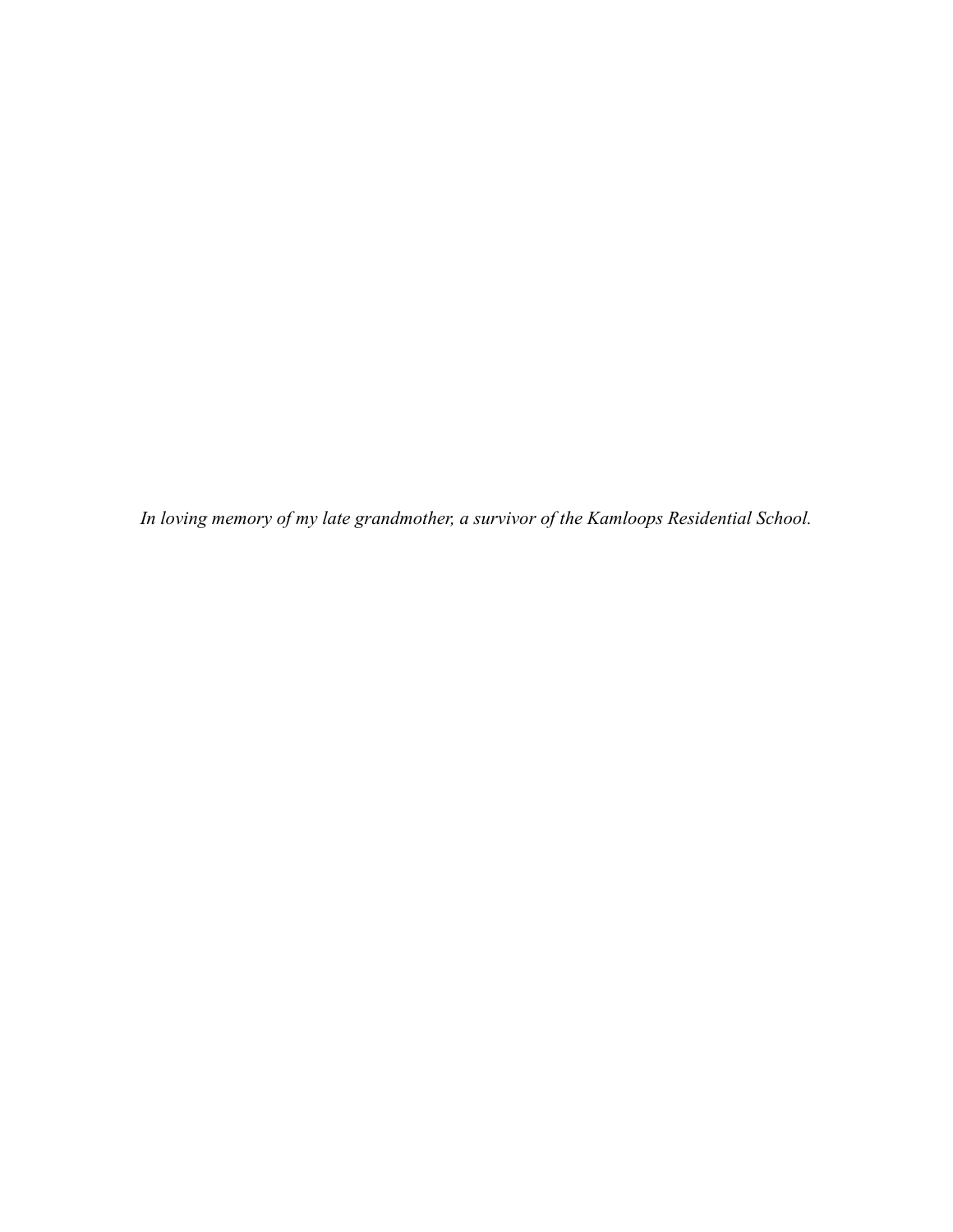*In loving memory of my late grandmother, a survivor of the Kamloops Residential School.*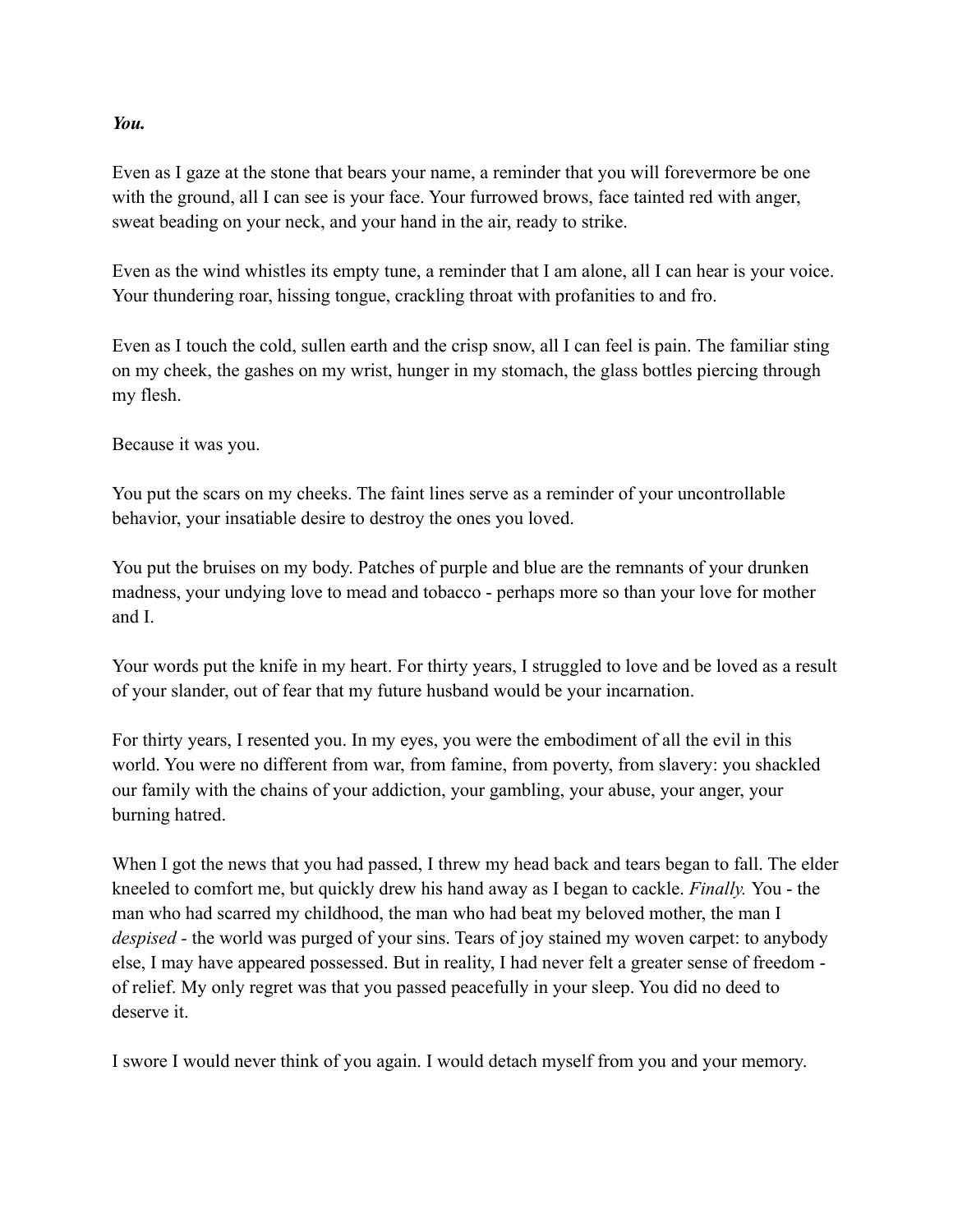## *You.*

Even as I gaze at the stone that bears your name, a reminder that you will forevermore be one with the ground, all I can see is your face. Your furrowed brows, face tainted red with anger, sweat beading on your neck, and your hand in the air, ready to strike.

Even as the wind whistles its empty tune, a reminder that I am alone, all I can hear is your voice. Your thundering roar, hissing tongue, crackling throat with profanities to and fro.

Even as I touch the cold, sullen earth and the crisp snow, all I can feel is pain. The familiar sting on my cheek, the gashes on my wrist, hunger in my stomach, the glass bottles piercing through my flesh.

Because it was you.

You put the scars on my cheeks. The faint lines serve as a reminder of your uncontrollable behavior, your insatiable desire to destroy the ones you loved.

You put the bruises on my body. Patches of purple and blue are the remnants of your drunken madness, your undying love to mead and tobacco - perhaps more so than your love for mother and I.

Your words put the knife in my heart. For thirty years, I struggled to love and be loved as a result of your slander, out of fear that my future husband would be your incarnation.

For thirty years, I resented you. In my eyes, you were the embodiment of all the evil in this world. You were no different from war, from famine, from poverty, from slavery: you shackled our family with the chains of your addiction, your gambling, your abuse, your anger, your burning hatred.

When I got the news that you had passed, I threw my head back and tears began to fall. The elder kneeled to comfort me, but quickly drew his hand away as I began to cackle. *Finally.* You - the man who had scarred my childhood, the man who had beat my beloved mother, the man I *despised -* the world was purged of your sins. Tears of joy stained my woven carpet: to anybody else, I may have appeared possessed. But in reality, I had never felt a greater sense of freedom of relief. My only regret was that you passed peacefully in your sleep. You did no deed to deserve it.

I swore I would never think of you again. I would detach myself from you and your memory.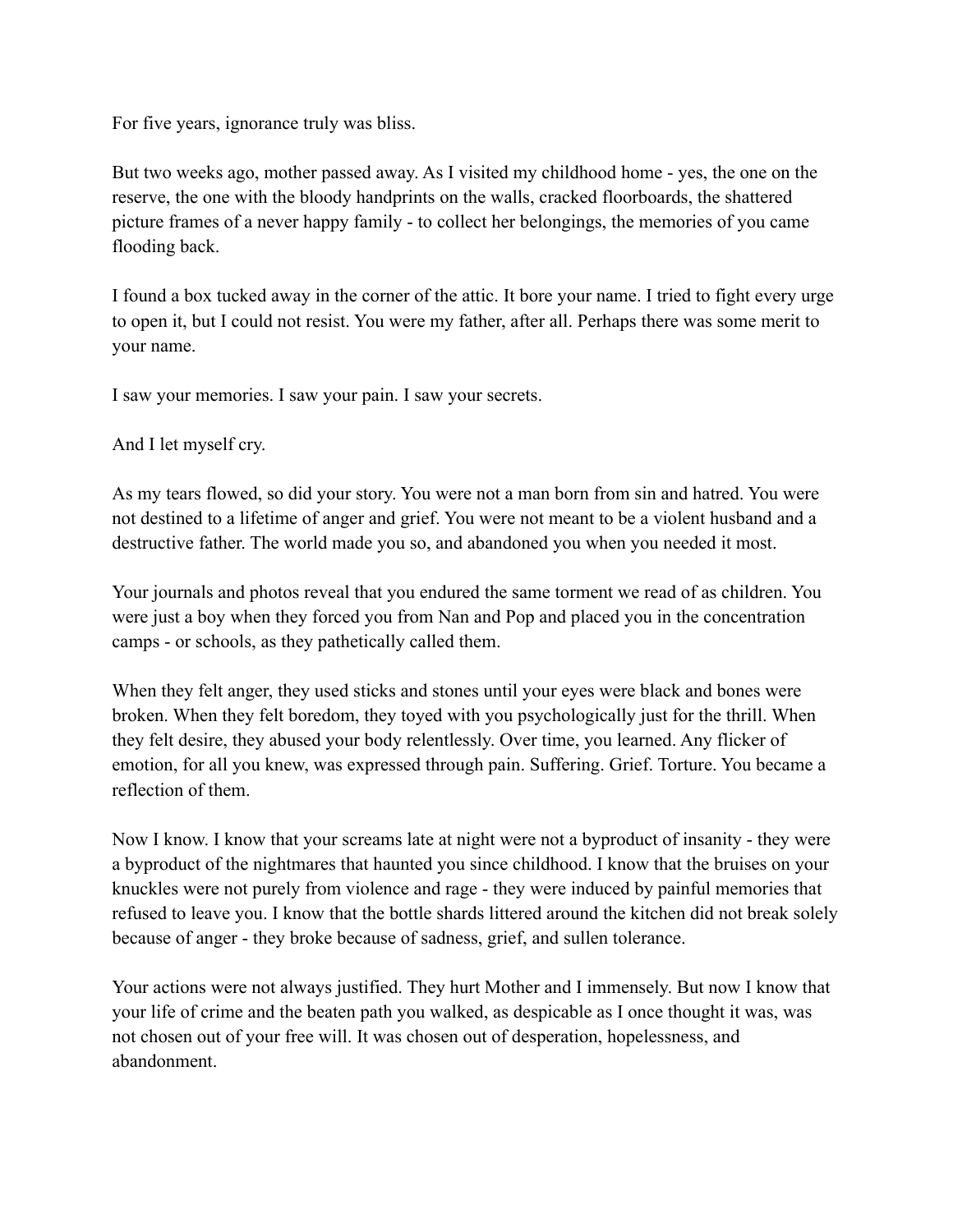For five years, ignorance truly was bliss.

But two weeks ago, mother passed away. As I visited my childhood home - yes, the one on the reserve, the one with the bloody handprints on the walls, cracked floorboards, the shattered picture frames of a never happy family - to collect her belongings, the memories of you came flooding back.

I found a box tucked away in the corner of the attic. It bore your name. I tried to fight every urge to open it, but I could not resist. You were my father, after all. Perhaps there was some merit to your name.

I saw your memories. I saw your pain. I saw your secrets.

And I let myself cry.

As my tears flowed, so did your story. You were not a man born from sin and hatred. You were not destined to a lifetime of anger and grief. You were not meant to be a violent husband and a destructive father. The world made you so, and abandoned you when you needed it most.

Your journals and photos reveal that you endured the same torment we read of as children. You were just a boy when they forced you from Nan and Pop and placed you in the concentration camps - or schools, as they pathetically called them.

When they felt anger, they used sticks and stones until your eyes were black and bones were broken. When they felt boredom, they toyed with you psychologically just for the thrill. When they felt desire, they abused your body relentlessly. Over time, you learned. Any flicker of emotion, for all you knew, was expressed through pain. Suffering. Grief. Torture. You became a reflection of them.

Now I know. I know that your screams late at night were not a byproduct of insanity - they were a byproduct of the nightmares that haunted you since childhood. I know that the bruises on your knuckles were not purely from violence and rage - they were induced by painful memories that refused to leave you. I know that the bottle shards littered around the kitchen did not break solely because of anger - they broke because of sadness, grief, and sullen tolerance.

Your actions were not always justified. They hurt Mother and I immensely. But now I know that your life of crime and the beaten path you walked, as despicable as I once thought it was, was not chosen out of your free will. It was chosen out of desperation, hopelessness, and abandonment.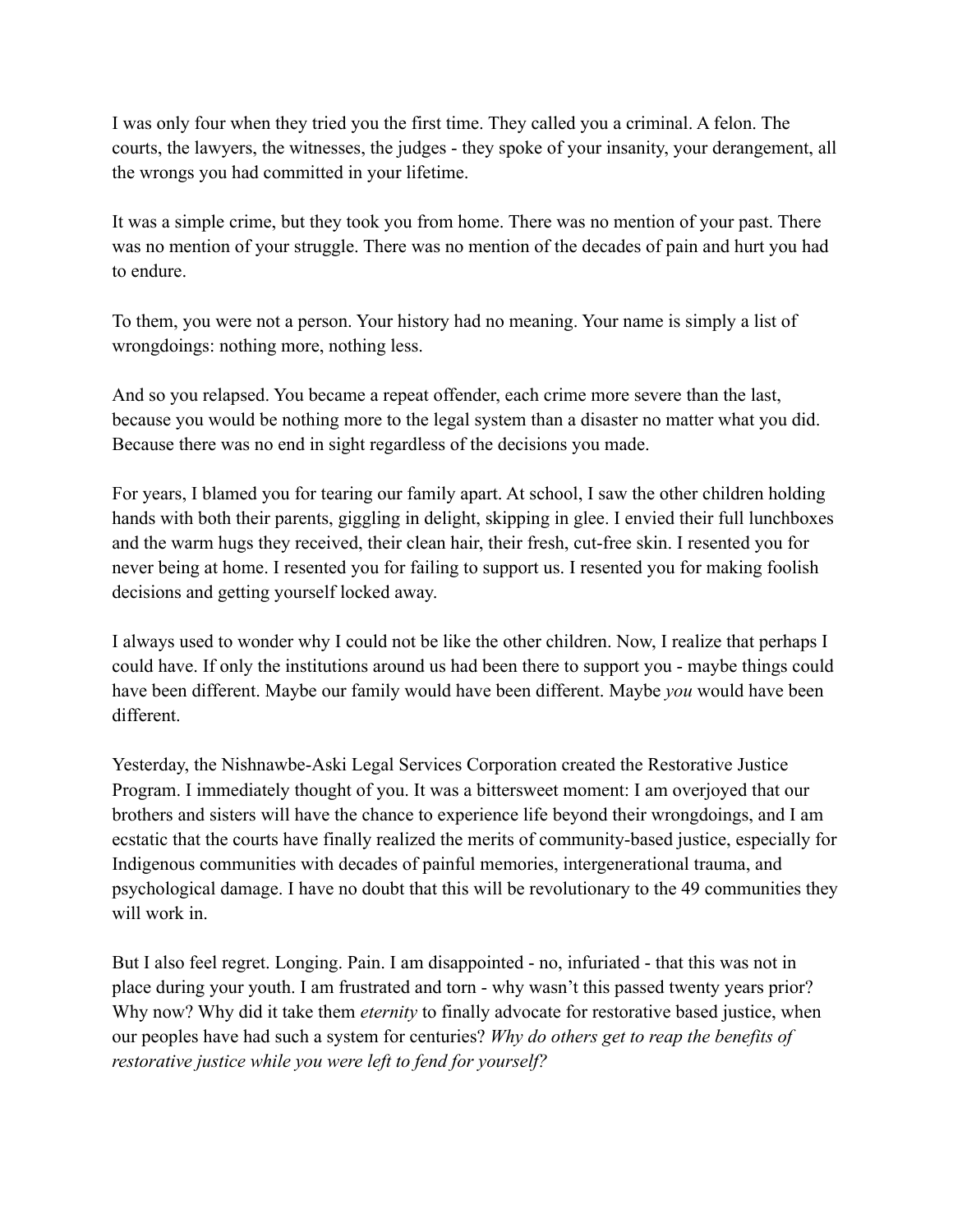I was only four when they tried you the first time. They called you a criminal. A felon. The courts, the lawyers, the witnesses, the judges - they spoke of your insanity, your derangement, all the wrongs you had committed in your lifetime.

It was a simple crime, but they took you from home. There was no mention of your past. There was no mention of your struggle. There was no mention of the decades of pain and hurt you had to endure.

To them, you were not a person. Your history had no meaning. Your name is simply a list of wrongdoings: nothing more, nothing less.

And so you relapsed. You became a repeat offender, each crime more severe than the last, because you would be nothing more to the legal system than a disaster no matter what you did. Because there was no end in sight regardless of the decisions you made.

For years, I blamed you for tearing our family apart. At school, I saw the other children holding hands with both their parents, giggling in delight, skipping in glee. I envied their full lunchboxes and the warm hugs they received, their clean hair, their fresh, cut-free skin. I resented you for never being at home. I resented you for failing to support us. I resented you for making foolish decisions and getting yourself locked away.

I always used to wonder why I could not be like the other children. Now, I realize that perhaps I could have. If only the institutions around us had been there to support you - maybe things could have been different. Maybe our family would have been different. Maybe *you* would have been different.

Yesterday, the Nishnawbe-Aski Legal Services Corporation created the Restorative Justice Program. I immediately thought of you. It was a bittersweet moment: I am overjoyed that our brothers and sisters will have the chance to experience life beyond their wrongdoings, and I am ecstatic that the courts have finally realized the merits of community-based justice, especially for Indigenous communities with decades of painful memories, intergenerational trauma, and psychological damage. I have no doubt that this will be revolutionary to the 49 communities they will work in.

But I also feel regret. Longing. Pain. I am disappointed - no, infuriated - that this was not in place during your youth. I am frustrated and torn - why wasn't this passed twenty years prior? Why now? Why did it take them *eternity* to finally advocate for restorative based justice, when our peoples have had such a system for centuries? *Why do others get to reap the benefits of restorative justice while you were left to fend for yourself?*